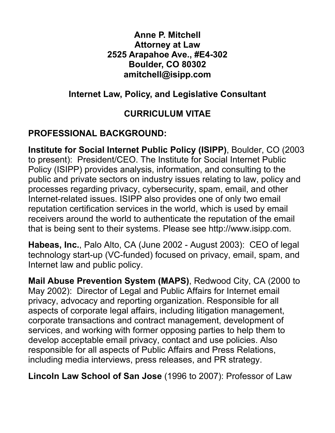#### **Anne P. Mitchell Attorney at Law 2525 Arapahoe Ave., #E4-302 Boulder, CO 80302 amitchell@isipp.com**

#### **Internet Law, Policy, and Legislative Consultant**

## **CURRICULUM VITAE**

# **PROFESSIONAL BACKGROUND:**

**Institute for Social Internet Public Policy (ISIPP)**, Boulder, CO (2003 to present): President/CEO. The Institute for Social Internet Public Policy (ISIPP) provides analysis, information, and consulting to the public and private sectors on industry issues relating to law, policy and processes regarding privacy, cybersecurity, spam, email, and other Internet-related issues. ISIPP also provides one of only two email reputation certification services in the world, which is used by email receivers around the world to authenticate the reputation of the email that is being sent to their systems. Please see http://www.isipp.com.

**Habeas, Inc.**, Palo Alto, CA (June 2002 - August 2003): CEO of legal technology start-up (VC-funded) focused on privacy, email, spam, and Internet law and public policy.

**Mail Abuse Prevention System (MAPS)**, Redwood City, CA (2000 to May 2002): Director of Legal and Public Affairs for Internet email privacy, advocacy and reporting organization. Responsible for all aspects of corporate legal affairs, including litigation management, corporate transactions and contract management, development of services, and working with former opposing parties to help them to develop acceptable email privacy, contact and use policies. Also responsible for all aspects of Public Affairs and Press Relations, including media interviews, press releases, and PR strategy.

**Lincoln Law School of San Jose** (1996 to 2007): Professor of Law